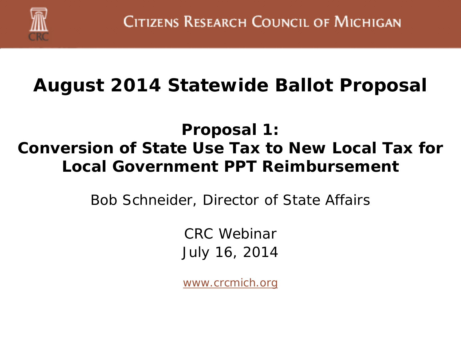

#### **August 2014 Statewide Ballot Proposal**

#### **Proposal 1: Conversion of State Use Tax to New Local Tax for Local Government PPT Reimbursement**

Bob Schneider, Director of State Affairs

CRC Webinar July 16, 2014

*[www.crcmich.org](http://www.crcmich.org/)*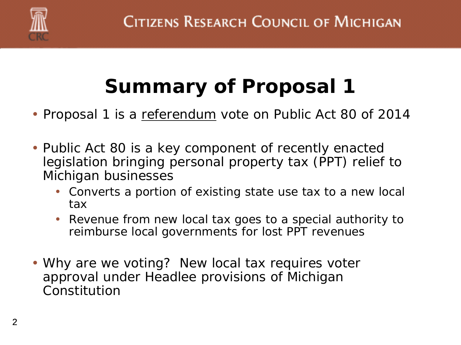

# **Summary of Proposal 1**

- Proposal 1 is a referendum vote on Public Act 80 of 2014
- Public Act 80 is a key component of recently enacted legislation bringing personal property tax (PPT) relief to Michigan businesses
	- Converts a portion of existing state use tax to a new local tax
	- Revenue from new local tax goes to a special authority to reimburse local governments for lost PPT revenues
- Why are we voting? New local tax requires voter approval under Headlee provisions of Michigan Constitution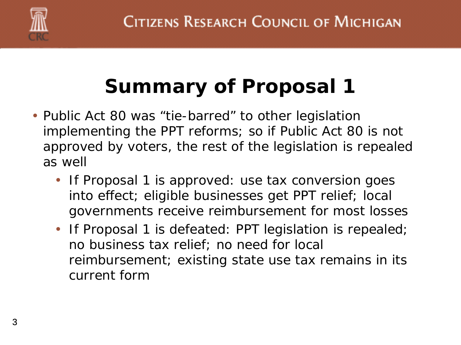

### **Summary of Proposal 1**

- Public Act 80 was "tie-barred" to other legislation implementing the PPT reforms; so if Public Act 80 is not approved by voters, the rest of the legislation is repealed as well
	- If Proposal 1 is approved: use tax conversion goes into effect; eligible businesses get PPT relief; local governments receive reimbursement for most losses
	- If Proposal 1 is defeated: PPT legislation is repealed; no business tax relief; no need for local reimbursement; existing state use tax remains in its current form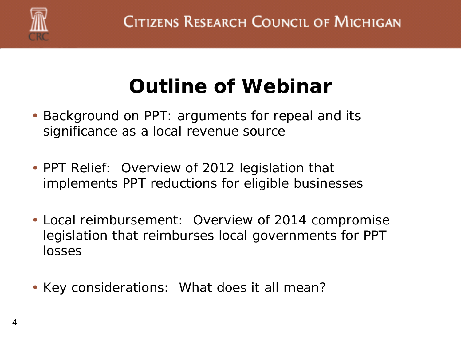

### **Outline of Webinar**

- Background on PPT: arguments for repeal and its significance as a local revenue source
- PPT Relief: Overview of 2012 legislation that implements PPT reductions for eligible businesses
- Local reimbursement: Overview of 2014 compromise legislation that reimburses local governments for PPT losses
- Key considerations: What does it all mean?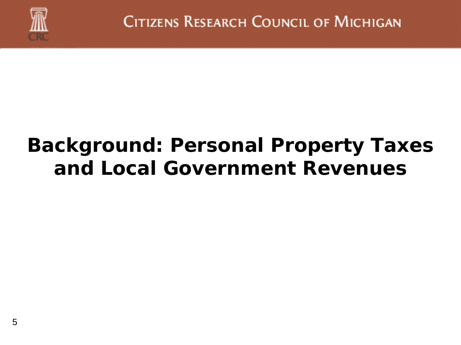

### **Background: Personal Property Taxes and Local Government Revenues**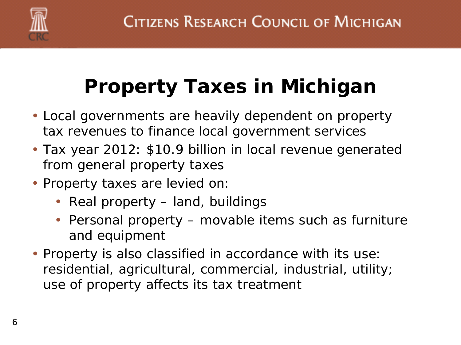

# **Property Taxes in Michigan**

- Local governments are heavily dependent on property tax revenues to finance local government services
- Tax year 2012: \$10.9 billion in local revenue generated from general property taxes
- Property taxes are levied on:
	- Real property land, buildings
	- Personal property movable items such as furniture and equipment
- Property is also classified in accordance with its use: residential, agricultural, commercial, industrial, utility; use of property affects its tax treatment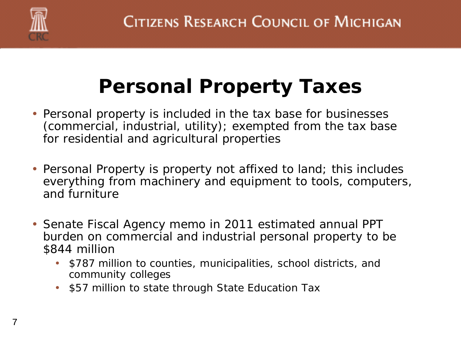

### **Personal Property Taxes**

- Personal property is included in the tax base for businesses (commercial, industrial, utility); exempted from the tax base for residential and agricultural properties
- Personal Property is property not affixed to land; this includes everything from machinery and equipment to tools, computers, and furniture
- Senate Fiscal Agency memo in 2011 estimated annual PPT burden on commercial and industrial personal property to be \$844 million
	- \$787 million to counties, municipalities, school districts, and community colleges
	- \$57 million to state through State Education Tax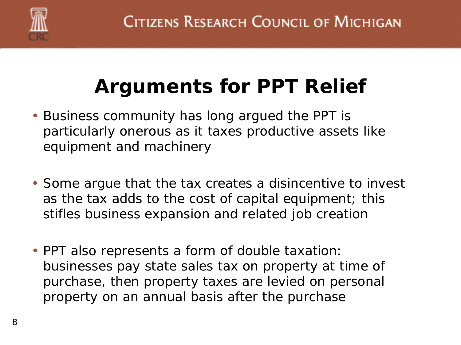

# **Arguments for PPT Relief**

- Business community has long argued the PPT is particularly onerous as it taxes productive assets like equipment and machinery
- Some argue that the tax creates a disincentive to invest as the tax adds to the cost of capital equipment; this stifles business expansion and related job creation
- PPT also represents a form of double taxation: businesses pay state sales tax on property at time of purchase, then property taxes are levied on personal property on an annual basis after the purchase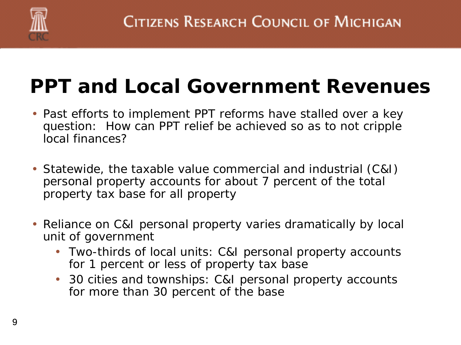

### **PPT and Local Government Revenues**

- Past efforts to implement PPT reforms have stalled over a key question: How can PPT relief be achieved so as to not cripple local finances?
- Statewide, the taxable value commercial and industrial (C&I) personal property accounts for about 7 percent of the total property tax base for all property
- Reliance on C&I personal property varies dramatically by local unit of government
	- Two-thirds of local units: C&I personal property accounts for 1 percent or less of property tax base
	- 30 cities and townships: C&I personal property accounts for more than 30 percent of the base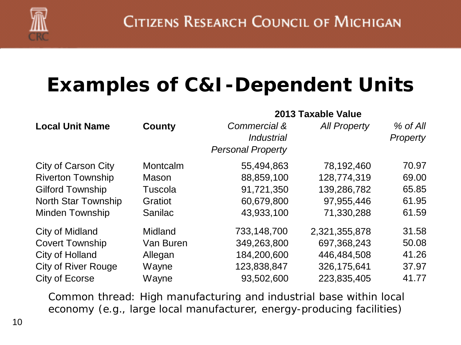

### **Examples of C&I-Dependent Units**

| <b>Local Unit Name</b>     |                | 2013 Taxable Value       |                     |                 |  |  |  |
|----------------------------|----------------|--------------------------|---------------------|-----------------|--|--|--|
|                            | <b>County</b>  | Commercial &             | <b>All Property</b> | % of All        |  |  |  |
|                            |                | <i><b>Industrial</b></i> |                     | <b>Property</b> |  |  |  |
|                            |                | <b>Personal Property</b> |                     |                 |  |  |  |
| City of Carson City        | Montcalm       | 55,494,863               | 78,192,460          | 70.97           |  |  |  |
| <b>Riverton Township</b>   | Mason          | 88,859,100               | 128,774,319         | 69.00           |  |  |  |
| <b>Gilford Township</b>    | Tuscola        | 91,721,350               | 139,286,782         | 65.85           |  |  |  |
| <b>North Star Township</b> | Gratiot        | 60,679,800               | 97,955,446          | 61.95           |  |  |  |
| <b>Minden Township</b>     | <b>Sanilac</b> | 43,933,100               | 71,330,288          | 61.59           |  |  |  |
| <b>City of Midland</b>     | Midland        | 733,148,700              | 2,321,355,878       | 31.58           |  |  |  |
| <b>Covert Township</b>     | Van Buren      | 349,263,800              | 697,368,243         | 50.08           |  |  |  |
| City of Holland            | Allegan        | 184,200,600              | 446,484,508         | 41.26           |  |  |  |
| <b>City of River Rouge</b> | Wayne          | 123,838,847              | 326,175,641         | 37.97           |  |  |  |
| City of Ecorse             | Wayne          | 93,502,600               | 223,835,405         | 41.77           |  |  |  |

Common thread: High manufacturing and industrial base within local economy (e.g., large local manufacturer, energy-producing facilities)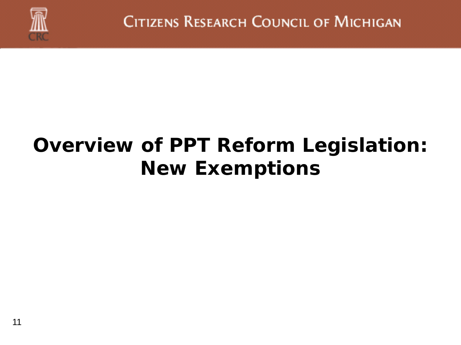

### **Overview of PPT Reform Legislation: New Exemptions**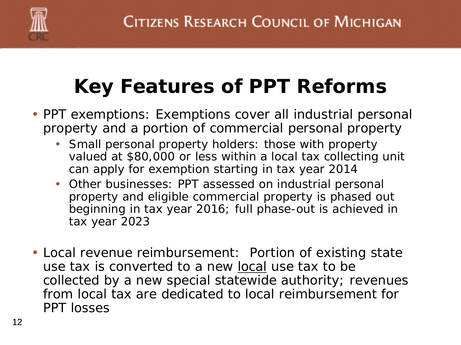

# **Key Features of PPT Reforms**

- PPT exemptions: Exemptions cover all industrial personal property and a portion of commercial personal property
	- Small personal property holders: those with property valued at \$80,000 or less within a local tax collecting unit can apply for exemption starting in tax year 2014
	- Other businesses: PPT assessed on industrial personal property and eligible commercial property is phased out beginning in tax year 2016; full phase-out is achieved in tax year 2023
- Local revenue reimbursement: Portion of existing state use tax is converted to a new local use tax to be collected by a new special statewide authority; revenues from local tax are dedicated to local reimbursement for PPT losses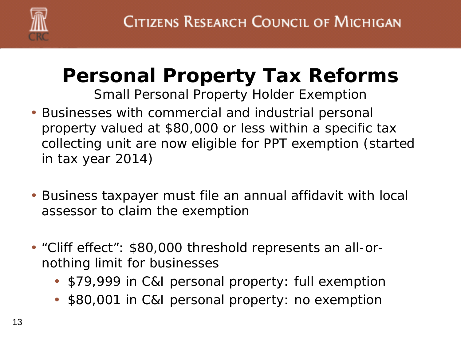

# **Personal Property Tax Reforms**

*Small Personal Property Holder Exemption*

- Businesses with commercial and industrial personal property valued at \$80,000 or less within a specific tax collecting unit are now eligible for PPT exemption (started in tax year 2014)
- Business taxpayer must file an annual affidavit with local assessor to claim the exemption
- "Cliff effect": \$80,000 threshold represents an all-ornothing limit for businesses
	- \$79,999 in C&I personal property: full exemption
	- \$80,001 in C&I personal property: no exemption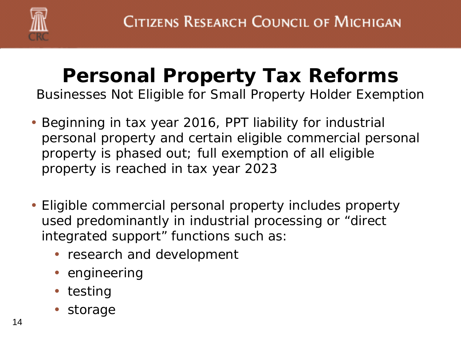

### **Personal Property Tax Reforms**

*Businesses Not Eligible for Small Property Holder Exemption*

- Beginning in tax year 2016, PPT liability for industrial personal property and certain eligible commercial personal property is phased out; full exemption of all eligible property is reached in tax year 2023
- Eligible commercial personal property includes property used predominantly in industrial processing or "direct integrated support" functions such as:
	- research and development
	- engineering
	- testing
	- storage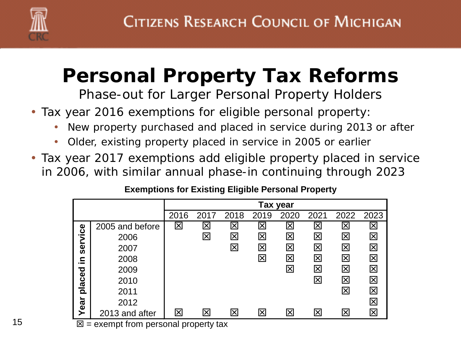

# **Personal Property Tax Reforms**

*Phase-out for Larger Personal Property Holders*

- Tax year 2016 exemptions for eligible personal property:
	- New property purchased and placed in service during 2013 or after
	- Older, existing property placed in service in 2005 or earlier
- Tax year 2017 exemptions add eligible property placed in service in 2006, with similar annual phase-in continuing through 2023

|  | <b>Exemptions for Existing Eligible Personal Property</b> |  |
|--|-----------------------------------------------------------|--|
|--|-----------------------------------------------------------|--|

|                                          |                 | Tax year |                          |                         |                         |                         |             |      |               |
|------------------------------------------|-----------------|----------|--------------------------|-------------------------|-------------------------|-------------------------|-------------|------|---------------|
|                                          |                 | 2016     | 2017                     | 2018                    | 2019                    | 2020                    | 2021        | 2022 | 2023          |
|                                          | 2005 and before | 冈        | $\overline{\bm{\times}}$ | $\mathbf{\overline{x}}$ | $\overline{\mathsf{x}}$ | $\bm{\mathsf{x}}$       | $\boxtimes$ | X    | $\bm{\times}$ |
|                                          | 2006            |          | 冈                        | 区                       | $\overline{\mathsf{x}}$ | 区                       | 区           | 区    | 冈             |
| service                                  | 2007            |          |                          | 区                       | $\boxtimes$             | 区                       | 区           | 区    | 区             |
| .으                                       | 2008            |          |                          |                         | 区                       | 区                       | 区           | 冈    | 図             |
|                                          | 2009            |          |                          |                         |                         | $\overline{\mathsf{x}}$ | 区           | 冈    | 冈             |
| placed                                   | 2010            |          |                          |                         |                         |                         | 区           | 区    | 区             |
|                                          | 2011            |          |                          |                         |                         |                         |             | X    | 冈             |
| Year                                     | 2012            |          |                          |                         |                         |                         |             |      | 冈             |
|                                          | 2013 and after  | 冈        | $\overline{\mathsf{x}}$  | 区                       | ⊠                       | 冈                       | 冈           | 冈    | 冈             |
| 図<br>= exempt from personal property tax |                 |          |                          |                         |                         |                         |             |      |               |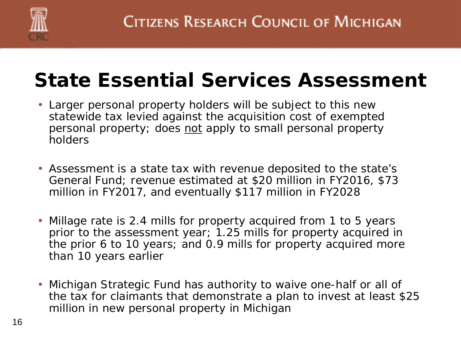

#### **State Essential Services Assessment**

- Larger personal property holders will be subject to this new statewide tax levied against the acquisition cost of exempted personal property; does not apply to small personal property holders
- Assessment is a state tax with revenue deposited to the state's General Fund; revenue estimated at \$20 million in FY2016, \$73 million in FY2017, and eventually \$117 million in FY2028
- Millage rate is 2.4 mills for property acquired from 1 to 5 years prior to the assessment year; 1.25 mills for property acquired in the prior 6 to 10 years; and 0.9 mills for property acquired more than 10 years earlier
- Michigan Strategic Fund has authority to waive one-half or all of the tax for claimants that demonstrate a plan to invest at least \$25 million in new personal property in Michigan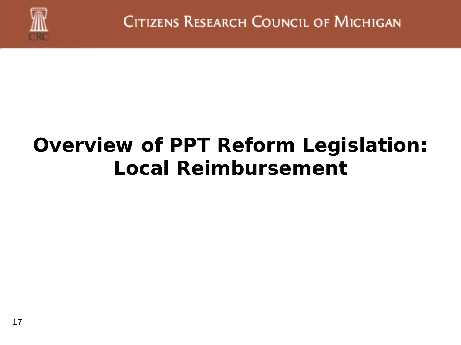

### **Overview of PPT Reform Legislation: Local Reimbursement**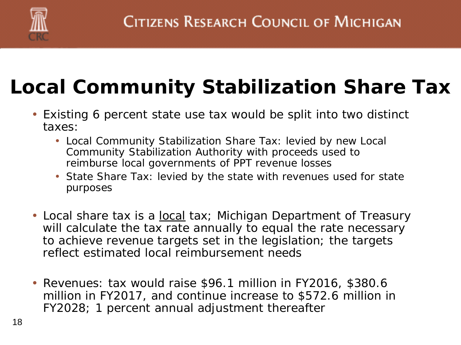

# **Local Community Stabilization Share Tax**

- Existing 6 percent state use tax would be split into two distinct taxes:
	- Local Community Stabilization Share Tax: levied by new Local Community Stabilization Authority with proceeds used to reimburse local governments of PPT revenue losses
	- State Share Tax: levied by the state with revenues used for state purposes
- Local share tax is a <u>local</u> tax; Michigan Department of Treasury will calculate the tax rate annually to equal the rate necessary to achieve revenue targets set in the legislation; the targets reflect estimated local reimbursement needs
- Revenues: tax would raise \$96.1 million in FY2016, \$380.6 million in FY2017, and continue increase to \$572.6 million in FY2028; 1 percent annual adjustment thereafter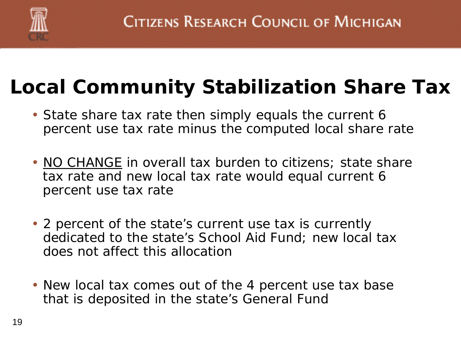

# **Local Community Stabilization Share Tax**

- State share tax rate then simply equals the current 6 percent use tax rate minus the computed local share rate
- NO CHANGE in overall tax burden to citizens; state share tax rate and new local tax rate would equal current 6 percent use tax rate
- 2 percent of the state's current use tax is currently dedicated to the state's School Aid Fund; new local tax does not affect this allocation
- New local tax comes out of the 4 percent use tax base that is deposited in the state's General Fund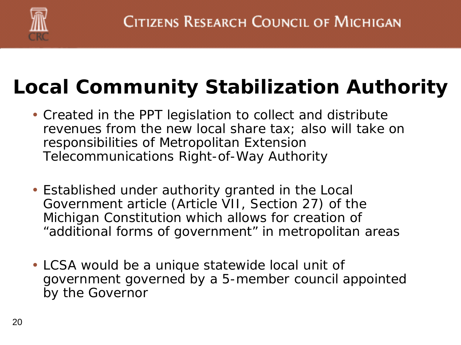

# **Local Community Stabilization Authority**

- Created in the PPT legislation to collect and distribute revenues from the new local share tax; also will take on responsibilities of Metropolitan Extension Telecommunications Right-of-Way Authority
- Established under authority granted in the Local Government article (Article VII, Section 27) of the Michigan Constitution which allows for creation of "additional forms of government" in metropolitan areas
- LCSA would be a unique statewide local unit of government governed by a 5-member council appointed by the Governor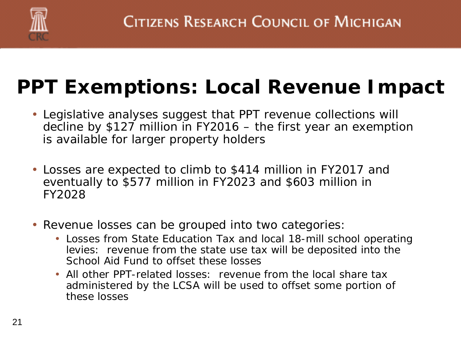

# **PPT Exemptions: Local Revenue Impact**

- Legislative analyses suggest that PPT revenue collections will decline by \$127 million in FY2016 – the first year an exemption is available for larger property holders
- Losses are expected to climb to \$414 million in FY2017 and eventually to \$577 million in FY2023 and \$603 million in FY2028
- Revenue losses can be grouped into two categories:
	- Losses from State Education Tax and local 18-mill school operating levies: revenue from the state use tax will be deposited into the School Aid Fund to offset these losses
	- All other PPT-related losses: revenue from the local share tax administered by the LCSA will be used to offset some portion of these losses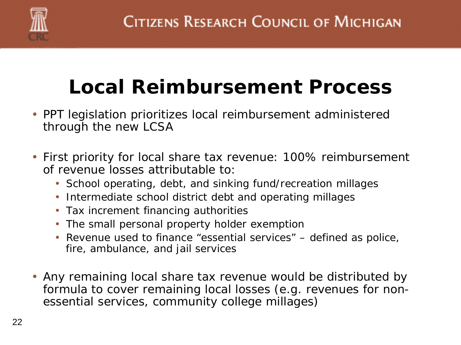

# **Local Reimbursement Process**

- PPT legislation prioritizes local reimbursement administered through the new LCSA
- First priority for local share tax revenue: 100% reimbursement of revenue losses attributable to:
	- School operating, debt, and sinking fund/recreation millages
	- Intermediate school district debt and operating millages
	- Tax increment financing authorities
	- The small personal property holder exemption
	- Revenue used to finance "essential services" defined as police, fire, ambulance, and jail services
- Any remaining local share tax revenue would be distributed by formula to cover remaining local losses (e.g. revenues for nonessential services, community college millages)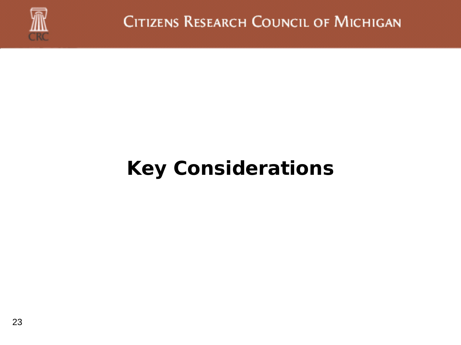

CITIZENS RESEARCH COUNCIL OF MICHIGAN

### **Key Considerations**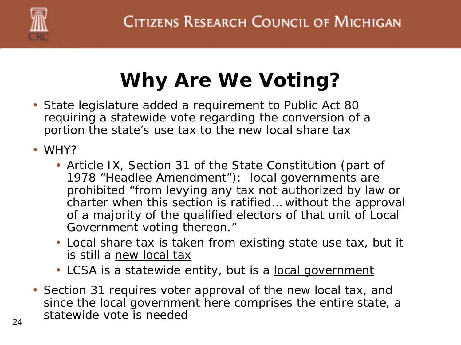

# **Why Are We Voting?**

- State legislature added a requirement to Public Act 80 requiring a statewide vote regarding the conversion of a portion the state's use tax to the new local share tax
- WHY?
	- Article IX, Section 31 of the State Constitution (part of 1978 "Headlee Amendment"): local governments are prohibited "from levying any tax not authorized by law or charter when this section is ratified… without the approval of a majority of the qualified electors of that unit of Local Government voting thereon."
	- Local share tax is taken from existing state use tax, but it is still a new local tax
	- LCSA is a statewide entity, but is a <u>local government</u>
- Section 31 requires voter approval of the new local tax, and since the local government here comprises the entire state, a statewide vote is needed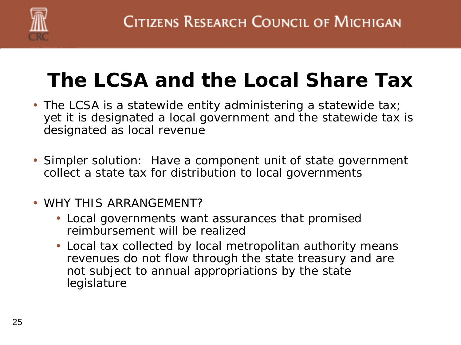

### **The LCSA and the Local Share Tax**

- The LCSA is a statewide entity administering a statewide tax; yet it is designated a local government and the statewide tax is designated as local revenue
- Simpler solution: Have a component unit of state government collect a state tax for distribution to local governments
- WHY THIS ARRANGEMENT?
	- Local governments want assurances that promised reimbursement will be realized
	- Local tax collected by local metropolitan authority means revenues do not flow through the state treasury and are not subject to annual appropriations by the state legislature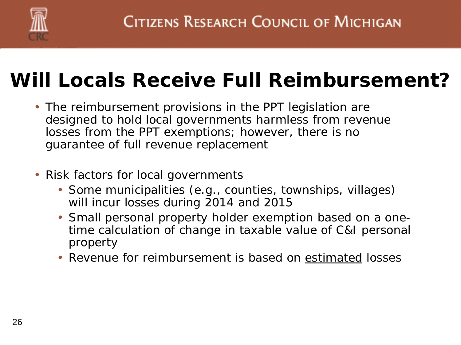

#### **Will Locals Receive Full Reimbursement?**

- The reimbursement provisions in the PPT legislation are designed to hold local governments harmless from revenue losses from the PPT exemptions; however, there is no guarantee of full revenue replacement
- Risk factors for local governments
	- Some municipalities (e.g., counties, townships, villages) will incur losses during 2014 and 2015
	- Small personal property holder exemption based on a onetime calculation of change in taxable value of C&I personal property
	- Revenue for reimbursement is based on estimated losses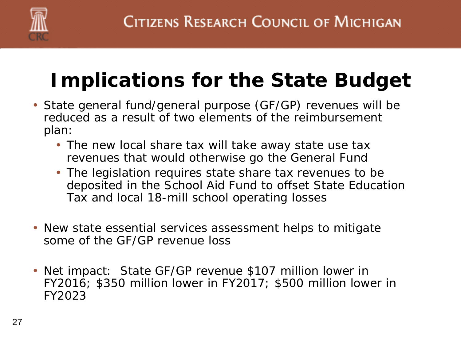

## **Implications for the State Budget**

- State general fund/general purpose (GF/GP) revenues will be reduced as a result of two elements of the reimbursement plan:
	- The new local share tax will take away state use tax revenues that would otherwise go the General Fund
	- The legislation requires state share tax revenues to be deposited in the School Aid Fund to offset State Education Tax and local 18-mill school operating losses
- New state essential services assessment helps to mitigate some of the GF/GP revenue loss
- Net impact: State GF/GP revenue \$107 million lower in FY2016; \$350 million lower in FY2017; \$500 million lower in FY2023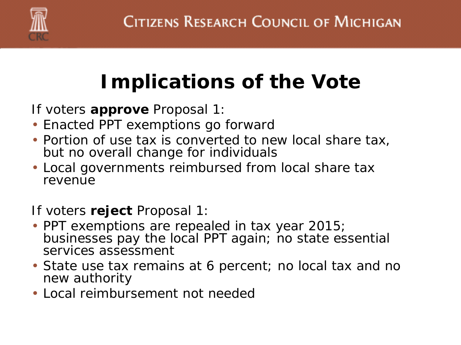

# **Implications of the Vote**

If voters **approve** Proposal 1:

- Enacted PPT exemptions go forward
- Portion of use tax is converted to new local share tax, but no overall change for individuals
- Local governments reimbursed from local share tax revenue

If voters **reject** Proposal 1:

- PPT exemptions are repealed in tax year 2015; businesses pay the local PPT again; no state essential services assessment
- State use tax remains at 6 percent; no local tax and no new authority
- Local reimbursement not needed